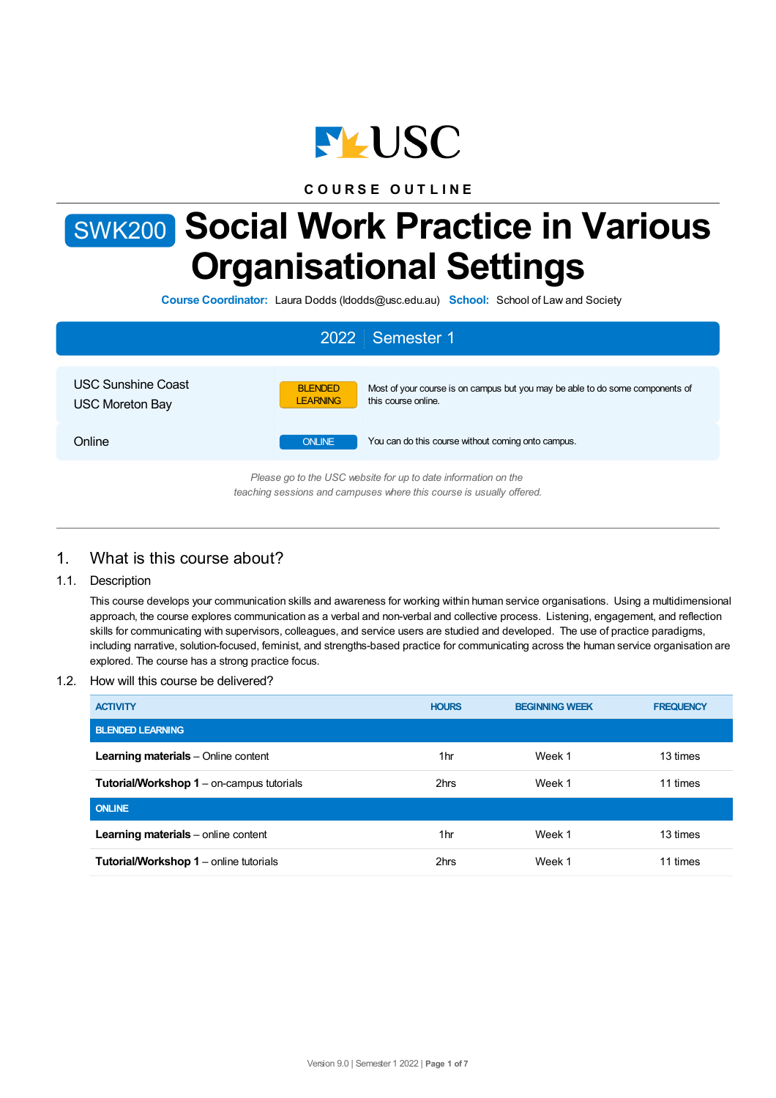

**C O U R S E O U T L I N E**

# SWK200 **Social Work Practice in Various Organisational Settings**

**Course Coordinator:** Laura Dodds (ldodds@usc.edu.au) **School:** School of Law and Society

|                                                                                                                                        | 2022 Semester 1                                                                                                                           |  |  |  |
|----------------------------------------------------------------------------------------------------------------------------------------|-------------------------------------------------------------------------------------------------------------------------------------------|--|--|--|
| <b>USC Sunshine Coast</b><br><b>USC Moreton Bay</b>                                                                                    | Most of your course is on campus but you may be able to do some components of<br><b>BLENDED</b><br>this course online.<br><b>LEARNING</b> |  |  |  |
| Online                                                                                                                                 | <b>ONLINE</b><br>You can do this course without coming onto campus.                                                                       |  |  |  |
| Please go to the USC website for up to date information on the<br>teaching sessions and campuses where this course is usually offered. |                                                                                                                                           |  |  |  |

# 1. What is this course about?

# 1.1. Description

This course develops your communication skills and awareness for working within human service organisations. Using a multidimensional approach, the course explores communication as a verbal and non-verbal and collective process. Listening, engagement, and reflection skills for communicating with supervisors, colleagues, and service users are studied and developed. The use of practice paradigms, including narrative, solution-focused, feminist, and strengths-based practice for communicating across the human service organisation are explored. The course has a strong practice focus.

#### 1.2. How will this course be delivered?

| <b>ACTIVITY</b>                                  | <b>HOURS</b> | <b>BEGINNING WEEK</b> | <b>FREQUENCY</b> |
|--------------------------------------------------|--------------|-----------------------|------------------|
| <b>BLENDED LEARNING</b>                          |              |                       |                  |
| <b>Learning materials</b> – Online content       | 1hr          | Week 1                | 13 times         |
| <b>Tutorial/Workshop 1</b> – on-campus tutorials | 2hrs         | Week 1                | 11 times         |
| <b>ONLINE</b>                                    |              |                       |                  |
| Learning materials - online content              | 1hr          | Week 1                | 13 times         |
| Tutorial/Workshop 1 - online tutorials           | 2hrs         | Week 1                | 11 times         |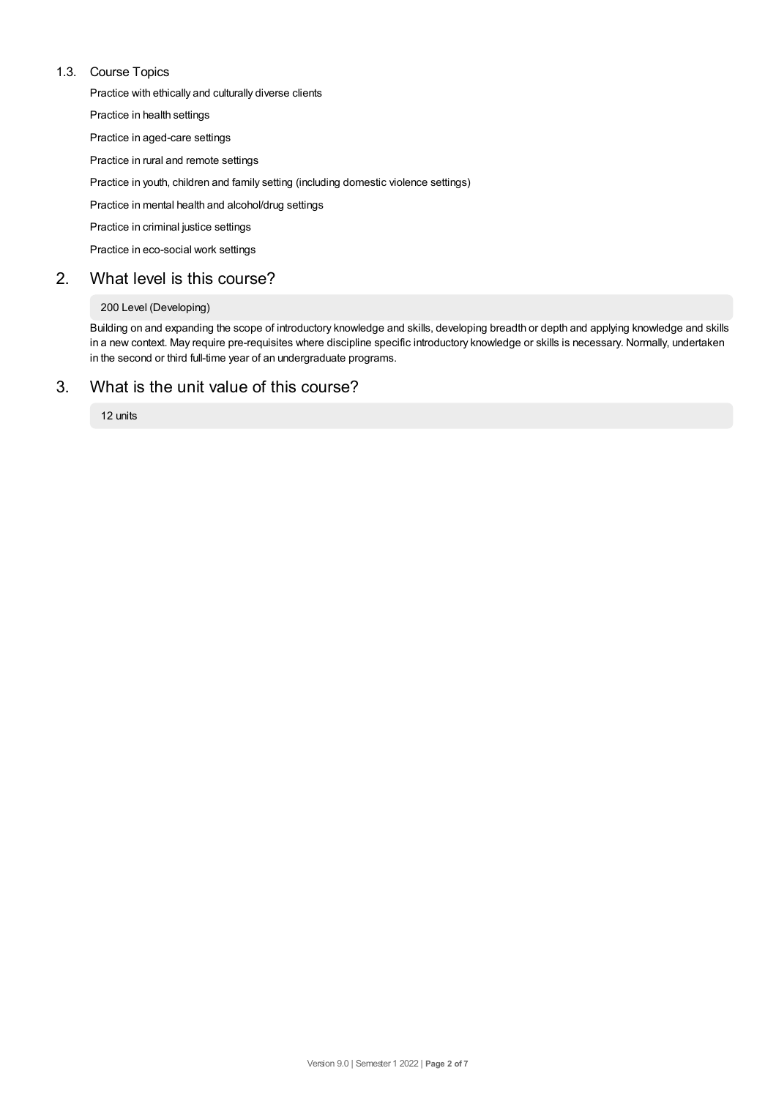## 1.3. Course Topics

Practice with ethically and culturally diverse clients

Practice in health settings

Practice in aged-care settings

Practice in rural and remote settings

Practice in youth, children and family setting (including domestic violence settings)

Practice in mental health and alcohol/drug settings

Practice in criminal justice settings

Practice in eco-social work settings

# 2. What level is this course?

## 200 Level (Developing)

Building on and expanding the scope of introductory knowledge and skills, developing breadth or depth and applying knowledge and skills in a new context. May require pre-requisites where discipline specific introductory knowledge or skills is necessary. Normally, undertaken in the second or third full-time year of an undergraduate programs.

# 3. What is the unit value of this course?

12 units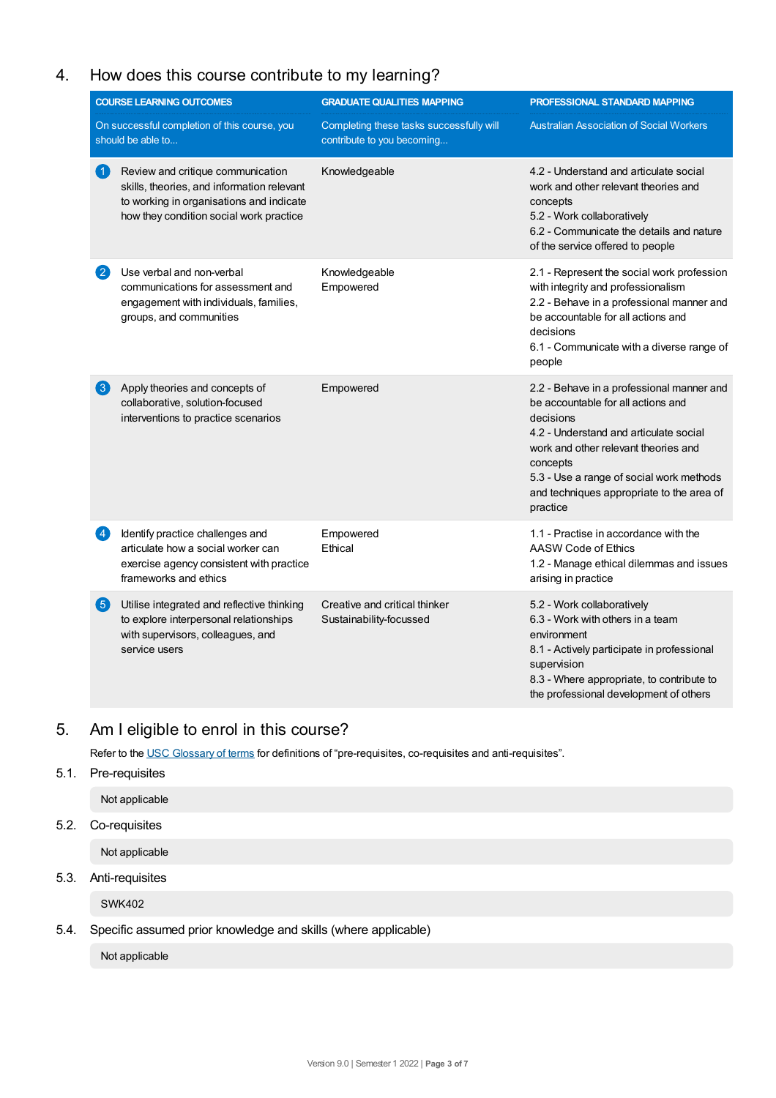# 4. How does this course contribute to my learning?

| <b>COURSE LEARNING OUTCOMES</b> |                                                                                                                                                                        | <b>GRADUATE QUALITIES MAPPING</b>                                      | PROFESSIONAL STANDARD MAPPING                                                                                                                                                                                                                                                                   |  |  |
|---------------------------------|------------------------------------------------------------------------------------------------------------------------------------------------------------------------|------------------------------------------------------------------------|-------------------------------------------------------------------------------------------------------------------------------------------------------------------------------------------------------------------------------------------------------------------------------------------------|--|--|
|                                 | On successful completion of this course, you<br>should be able to                                                                                                      | Completing these tasks successfully will<br>contribute to you becoming | <b>Australian Association of Social Workers</b>                                                                                                                                                                                                                                                 |  |  |
| $\blacktriangleleft$            | Review and critique communication<br>skills, theories, and information relevant<br>to working in organisations and indicate<br>how they condition social work practice | Knowledgeable                                                          | 4.2 - Understand and articulate social<br>work and other relevant theories and<br>concepts<br>5.2 - Work collaboratively<br>6.2 - Communicate the details and nature<br>of the service offered to people                                                                                        |  |  |
|                                 | Use verbal and non-verbal<br>communications for assessment and<br>engagement with individuals, families,<br>groups, and communities                                    | Knowledgeable<br>Empowered                                             | 2.1 - Represent the social work profession<br>with integrity and professionalism<br>2.2 - Behave in a professional manner and<br>be accountable for all actions and<br>decisions<br>6.1 - Communicate with a diverse range of<br>people                                                         |  |  |
| $\left( 3\right)$               | Apply theories and concepts of<br>collaborative, solution-focused<br>interventions to practice scenarios                                                               | Empowered                                                              | 2.2 - Behave in a professional manner and<br>be accountable for all actions and<br>decisions<br>4.2 - Understand and articulate social<br>work and other relevant theories and<br>concepts<br>5.3 - Use a range of social work methods<br>and techniques appropriate to the area of<br>practice |  |  |
| $\left 4\right\rangle$          | Identify practice challenges and<br>articulate how a social worker can<br>exercise agency consistent with practice<br>frameworks and ethics                            | Empowered<br>Ethical                                                   | 1.1 - Practise in accordance with the<br>AASW Code of Ethics<br>1.2 - Manage ethical dilemmas and issues<br>arising in practice                                                                                                                                                                 |  |  |
| 6                               | Utilise integrated and reflective thinking<br>to explore interpersonal relationships<br>with supervisors, colleagues, and<br>service users                             | Creative and critical thinker<br>Sustainability-focussed               | 5.2 - Work collaboratively<br>6.3 - Work with others in a team<br>environment<br>8.1 - Actively participate in professional<br>supervision<br>8.3 - Where appropriate, to contribute to<br>the professional development of others                                                               |  |  |

# 5. Am Ieligible to enrol in this course?

Refer to the USC [Glossary](https://www.usc.edu.au/about/policies-and-procedures/glossary-of-terms-for-policy-and-procedures) of terms for definitions of "pre-requisites, co-requisites and anti-requisites".

## 5.1. Pre-requisites

Not applicable

## 5.2. Co-requisites

Not applicable

# 5.3. Anti-requisites

SWK402

# 5.4. Specific assumed prior knowledge and skills (where applicable)

Not applicable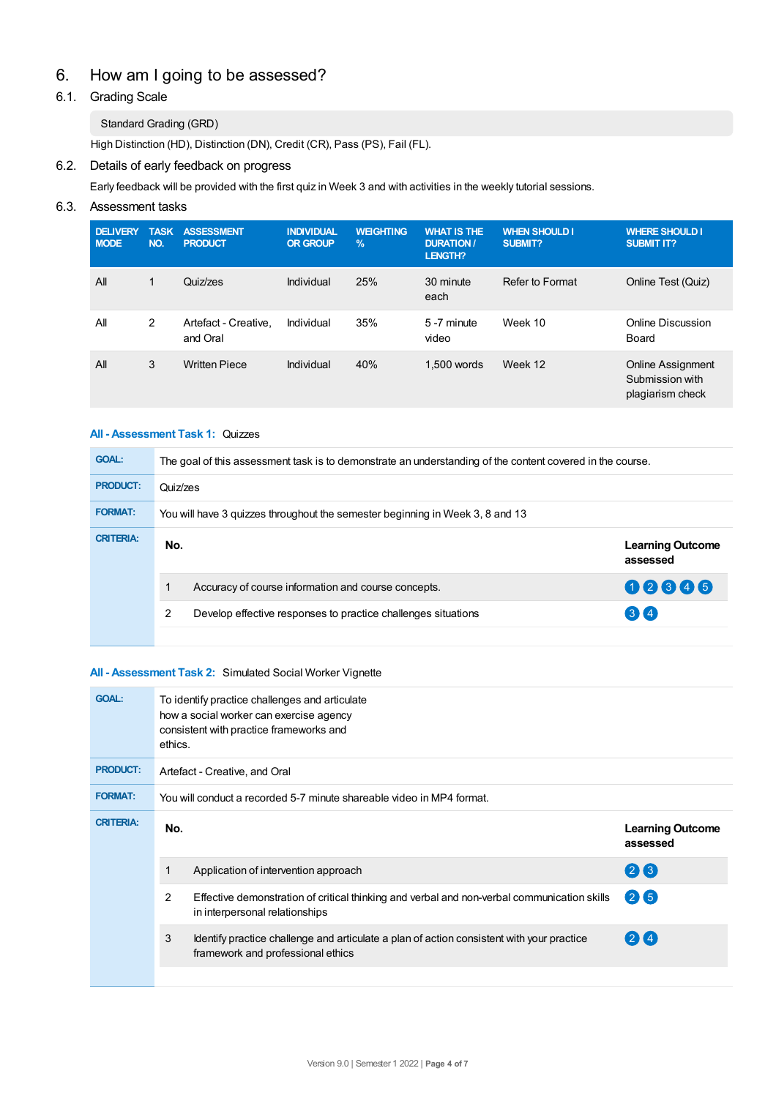# 6. How am Igoing to be assessed?

# 6.1. Grading Scale

## Standard Grading (GRD)

High Distinction (HD), Distinction (DN), Credit (CR), Pass (PS), Fail (FL).

# 6.2. Details of early feedback on progress

Early feedback will be provided with the first quiz in Week 3 and with activities in the weekly tutorial sessions.

# 6.3. Assessment tasks

| <b>DELIVERY</b><br><b>MODE</b> | <b>TASK</b><br>NO. | <b>ASSESSMENT</b><br><b>PRODUCT</b> | <b>INDIVIDUAL</b><br><b>OR GROUP</b> | <b>WEIGHTING</b><br>$\frac{9}{6}$ | <b>WHAT IS THE</b><br><b>DURATION /</b><br>LENGTH? | <b>WHEN SHOULD I</b><br><b>SUBMIT?</b> | <b>WHERE SHOULD I</b><br><b>SUBMIT IT?</b>               |
|--------------------------------|--------------------|-------------------------------------|--------------------------------------|-----------------------------------|----------------------------------------------------|----------------------------------------|----------------------------------------------------------|
| All                            | 1                  | Quiz/zes                            | Individual                           | 25%                               | 30 minute<br>each                                  | Refer to Format                        | Online Test (Quiz)                                       |
| All                            | $\overline{2}$     | Artefact - Creative.<br>and Oral    | Individual                           | 35%                               | 5-7 minute<br>video                                | Week 10                                | Online Discussion<br>Board                               |
| All                            | 3                  | <b>Written Piece</b>                | Individual                           | 40%                               | 1.500 words                                        | Week 12                                | Online Assignment<br>Submission with<br>plagiarism check |

# **All - Assessment Task 1:** Quizzes

| <b>GOAL:</b>     | The goal of this assessment task is to demonstrate an understanding of the content covered in the course. |                                     |  |
|------------------|-----------------------------------------------------------------------------------------------------------|-------------------------------------|--|
| <b>PRODUCT:</b>  | Quiz/zes                                                                                                  |                                     |  |
| <b>FORMAT:</b>   | You will have 3 guizzes throughout the semester beginning in Week 3, 8 and 13                             |                                     |  |
| <b>CRITERIA:</b> | No.                                                                                                       | <b>Learning Outcome</b><br>assessed |  |
|                  | Accuracy of course information and course concepts.                                                       | 02345                               |  |
|                  | 2<br>Develop effective responses to practice challenges situations                                        | (3)(4)                              |  |
|                  |                                                                                                           |                                     |  |

#### **All - Assessment Task 2:** Simulated Social Worker Vignette

| <b>GOAL:</b>     | ethics.                                                               | To identify practice challenges and articulate<br>how a social worker can exercise agency<br>consistent with practice frameworks and |                                     |  |  |
|------------------|-----------------------------------------------------------------------|--------------------------------------------------------------------------------------------------------------------------------------|-------------------------------------|--|--|
| <b>PRODUCT:</b>  | Artefact - Creative, and Oral                                         |                                                                                                                                      |                                     |  |  |
| <b>FORMAT:</b>   | You will conduct a recorded 5-7 minute shareable video in MP4 format. |                                                                                                                                      |                                     |  |  |
| <b>CRITERIA:</b> | No.                                                                   |                                                                                                                                      | <b>Learning Outcome</b><br>assessed |  |  |
|                  | 1                                                                     | Application of intervention approach                                                                                                 | 26                                  |  |  |
|                  | $\overline{2}$                                                        | Effective demonstration of critical thinking and verbal and non-verbal communication skills<br>in interpersonal relationships        | 26                                  |  |  |
|                  | 3                                                                     | Identify practice challenge and articulate a plan of action consistent with your practice<br>framework and professional ethics       | 214                                 |  |  |
|                  |                                                                       |                                                                                                                                      |                                     |  |  |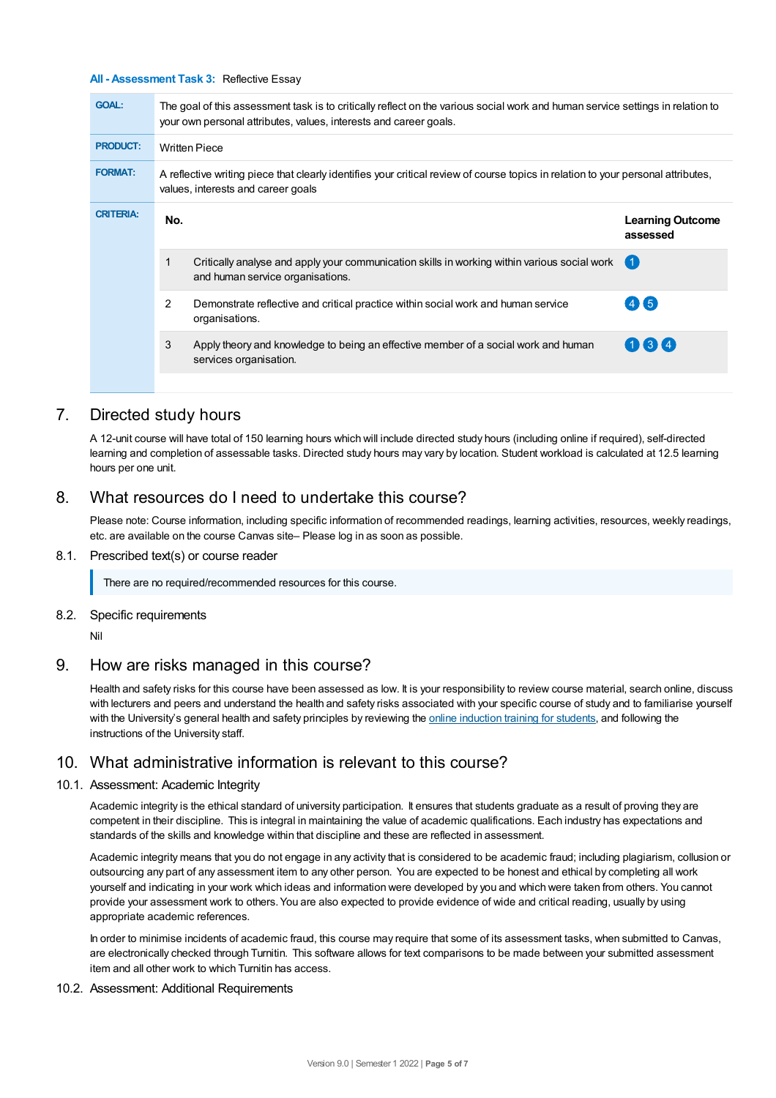#### **All - Assessment Task 3:** Reflective Essay

| <b>GOAL:</b>     | The goal of this assessment task is to critically reflect on the various social work and human service settings in relation to<br>your own personal attributes, values, interests and career goals. |                                                                                                                                  |                                     |  |  |
|------------------|-----------------------------------------------------------------------------------------------------------------------------------------------------------------------------------------------------|----------------------------------------------------------------------------------------------------------------------------------|-------------------------------------|--|--|
| <b>PRODUCT:</b>  | <b>Written Piece</b>                                                                                                                                                                                |                                                                                                                                  |                                     |  |  |
| <b>FORMAT:</b>   | A reflective writing piece that clearly identifies your critical review of course topics in relation to your personal attributes,<br>values, interests and career goals                             |                                                                                                                                  |                                     |  |  |
| <b>CRITERIA:</b> | No.                                                                                                                                                                                                 |                                                                                                                                  | <b>Learning Outcome</b><br>assessed |  |  |
|                  |                                                                                                                                                                                                     | Critically analyse and apply your communication skills in working within various social work<br>and human service organisations. | 【 1                                 |  |  |
|                  | 2                                                                                                                                                                                                   | Demonstrate reflective and critical practice within social work and human service<br>organisations.                              | (4)(5)                              |  |  |
|                  | 3                                                                                                                                                                                                   | Apply theory and knowledge to being an effective member of a social work and human<br>services organisation.                     | $(1)$ $(3)$ $(4)$                   |  |  |
|                  |                                                                                                                                                                                                     |                                                                                                                                  |                                     |  |  |

# 7. Directed study hours

A 12-unit course will have total of 150 learning hours which will include directed study hours (including online if required), self-directed learning and completion of assessable tasks. Directed study hours may vary by location. Student workload is calculated at 12.5 learning hours per one unit.

# 8. What resources do I need to undertake this course?

Please note: Course information, including specific information of recommended readings, learning activities, resources, weekly readings, etc. are available on the course Canvas site– Please log in as soon as possible.

#### 8.1. Prescribed text(s) or course reader

There are no required/recommended resources for this course.

#### 8.2. Specific requirements

Nil

## 9. How are risks managed in this course?

Health and safety risks for this course have been assessed as low. It is your responsibility to review course material, search online, discuss with lecturers and peers and understand the health and safety risks associated with your specific course of study and to familiarise yourself with the University's general health and safety principles by reviewing the online [induction](https://online.usc.edu.au/webapps/blackboard/content/listContentEditable.jsp?content_id=_632657_1&course_id=_14432_1) training for students, and following the instructions of the University staff.

# 10. What administrative information is relevant to this course?

#### 10.1. Assessment: Academic Integrity

Academic integrity is the ethical standard of university participation. It ensures that students graduate as a result of proving they are competent in their discipline. This is integral in maintaining the value of academic qualifications. Each industry has expectations and standards of the skills and knowledge within that discipline and these are reflected in assessment.

Academic integrity means that you do not engage in any activity that is considered to be academic fraud; including plagiarism, collusion or outsourcing any part of any assessment item to any other person. You are expected to be honest and ethical by completing all work yourself and indicating in your work which ideas and information were developed by you and which were taken from others. You cannot provide your assessment work to others.You are also expected to provide evidence of wide and critical reading, usually by using appropriate academic references.

In order to minimise incidents of academic fraud, this course may require that some of its assessment tasks, when submitted to Canvas, are electronically checked through Turnitin. This software allows for text comparisons to be made between your submitted assessment item and all other work to which Turnitin has access.

#### 10.2. Assessment: Additional Requirements